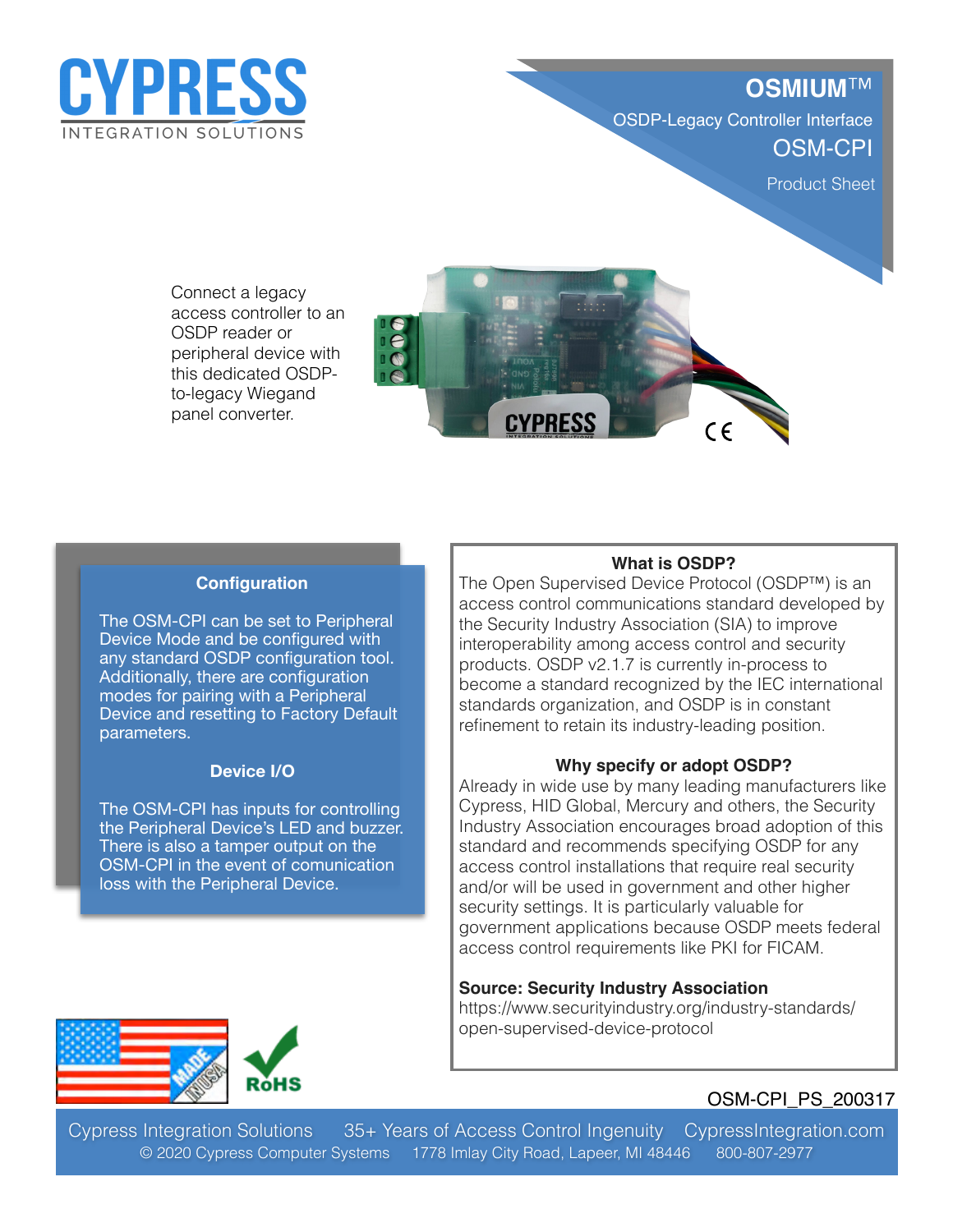

# **OSMIUM**™ OSDP-Legacy Controller Interface OSM-CPI

Product Sheet

Reader-Extender

Connect a legacy access controller to an OSDP reader or peripheral device with this dedicated OSDPto-legacy Wiegand panel converter.



## **Configuration**

The OSM-CPI can be set to Peripheral Device Mode and be configured with any standard OSDP configuration tool. Additionally, there are configuration modes for pairing with a Peripheral Device and resetting to Factory Default parameters.

#### **Device I/O**

The OSM-CPI has inputs for controlling the Peripheral Device's LED and buzzer. There is also a tamper output on the OSM-CPI in the event of comunication loss with the Peripheral Device.

#### **What is OSDP?**

The Open Supervised Device Protocol (OSDP™) is an access control communications standard developed by the Security Industry Association (SIA) to improve interoperability among access control and security products. OSDP v2.1.7 is currently in-process to become a standard recognized by the IEC international standards organization, and OSDP is in constant refinement to retain its industry-leading position.

#### **Why specify or adopt OSDP?**

Already in wide use by many leading manufacturers like Cypress, HID Global, Mercury and others, the Security Industry Association encourages broad adoption of this standard and recommends specifying OSDP for any access control installations that require real security and/or will be used in government and other higher security settings. It is particularly valuable for government applications because OSDP meets federal access control requirements like PKI for FICAM.

#### **Source: Security Industry Association**

https://www.securityindustry.org/industry-standards/ open-supervised-device-protocol



## OSM-CPI\_PS\_200317

Cypress Integration Solutions 35+ Years of Access Control Ingenuity CypressIntegration.com © 2020 Cypress Computer Systems 1778 Imlay City Road, Lapeer, MI 48446 800-807-2977